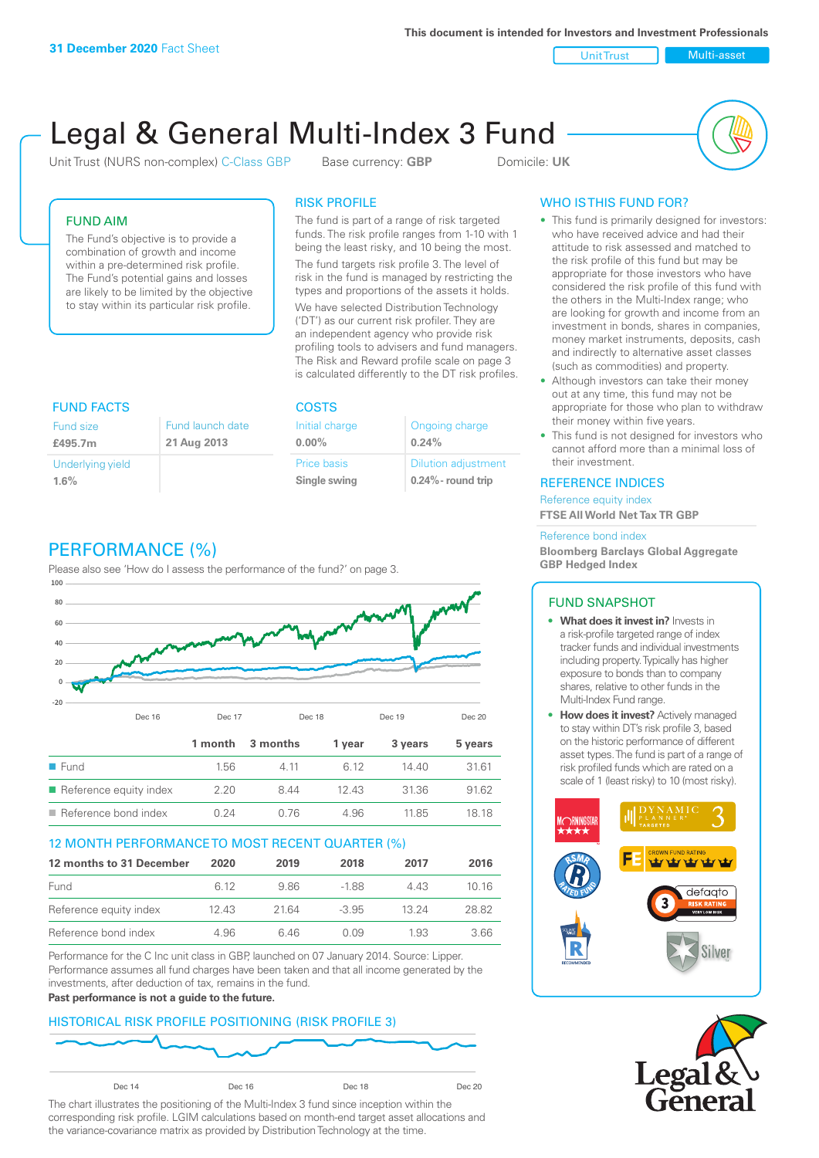**This document is intended for Investors and Investment Professionals**

Unit Trust Nulti-asset

# Legal & General Multi-Index 3 Fund

Unit Trust (NURS non-complex) C-Class GBP Base currency: **GBP** Domicile: UK



## FUND AIM

The Fund's objective is to provide a combination of growth and income within a pre-determined risk profile. The Fund's potential gains and losses are likely to be limited by the objective to stay within its particular risk profile.

### RISK PROFILE

The fund is part of a range of risk targeted funds. The risk profile ranges from 1-10 with 1 being the least risky, and 10 being the most.

The fund targets risk profile 3. The level of risk in the fund is managed by restricting the types and proportions of the assets it holds. We have selected Distribution Technology ('DT') as our current risk profiler. They are an independent agency who provide risk profiling tools to advisers and fund managers. The Risk and Reward profile scale on page 3 is calculated differently to the DT risk profiles.

| <b>FUND FACTS</b> |                  | <b>COSTS</b>   |                            |  |
|-------------------|------------------|----------------|----------------------------|--|
| <b>Fund size</b>  | Fund launch date | Initial charge | Ongoing charge             |  |
| £495.7m           | 21 Aug 2013      | $0.00\%$       | 0.24%                      |  |
| Underlying yield  |                  | Price basis    | <b>Dilution adjustment</b> |  |
| 1.6%              |                  | Single swing   | $0.24\%$ - round trip      |  |

# PERFORMANCE (%)

Please also see 'How do I assess the performance of the fund?' on page 3.



## 12 MONTH PERFORMANCE TO MOST RECENT QUARTER (%)

| 12 months to 31 December | 2020 | 2019  | 2018    | 2017  | 2016  |
|--------------------------|------|-------|---------|-------|-------|
| Fund                     | 6.12 | 986   | -188    | 4 4 3 | 10 16 |
| Reference equity index   | 1243 | 21.64 | $-3.95$ | 13 24 | 28.82 |
| Reference bond index     | 4.96 | 646   | N N9    | 1.93  | 3.66  |

Performance for the C Inc unit class in GBP, launched on 07 January 2014. Source: Lipper. Performance assumes all fund charges have been taken and that all income generated by the investments, after deduction of tax, remains in the fund.

#### **Past performance is not a guide to the future.**

## HISTORICAL RISK PROFILE POSITIONING (RISK PROFILE 3)



The chart illustrates the positioning of the Multi-Index 3 fund since inception within the corresponding risk profile. LGIM calculations based on month-end target asset allocations and the variance-covariance matrix as provided by Distribution Technology at the time.

# WHO IS THIS FUND FOR?

- This fund is primarily designed for investors: who have received advice and had their attitude to risk assessed and matched to the risk profile of this fund but may be appropriate for those investors who have considered the risk profile of this fund with the others in the Multi-Index range; who are looking for growth and income from an investment in bonds, shares in companies, money market instruments, deposits, cash and indirectly to alternative asset classes (such as commodities) and property.
- Although investors can take their money out at any time, this fund may not be appropriate for those who plan to withdraw their money within five years.
- This fund is not designed for investors who cannot afford more than a minimal loss of their investment.

#### REFERENCE INDICES

Reference equity index **FTSE All World Net Tax TR GBP**

#### Reference bond index

**Bloomberg Barclays Global Aggregate GBP Hedged Index**

#### FUND SNAPSHOT

- **• What does it invest in?** Invests in a risk-profile targeted range of index tracker funds and individual investments including property. Typically has higher exposure to bonds than to company shares, relative to other funds in the Multi-Index Fund range.
- **• How does it invest?** Actively managed to stay within DT's risk profile 3, based on the historic performance of different asset types. The fund is part of a range of risk profiled funds which are rated on a scale of 1 (least risky) to 10 (most risky).



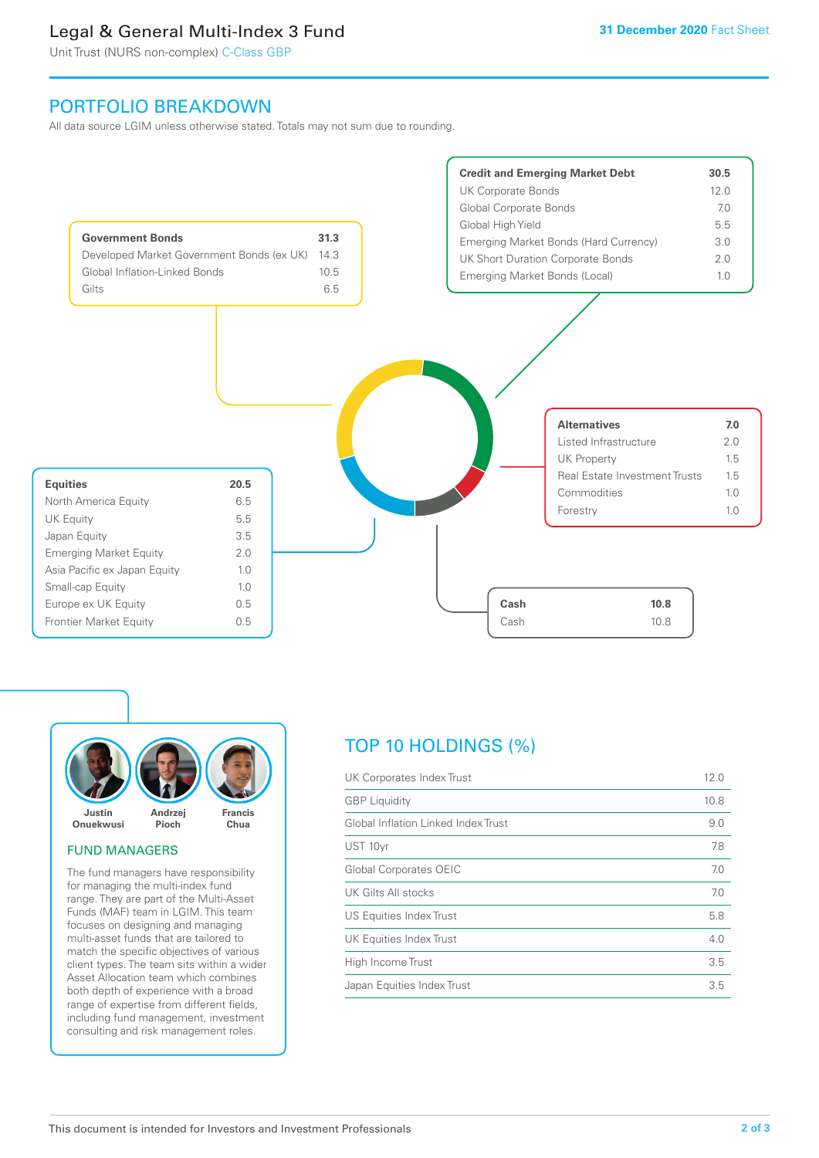# Legal & General Multi-Index 3 Fund

Unit Trust (NURS non-complex) C-Class GBP

# PORTFOLIO BREAKDOWN

All data source LGIM unless otherwise stated. Totals may not sum due to rounding.





#### FUND MANAGERS

The fund managers have responsibility for managing the multi-index fund range. They are part of the Multi-Asset Funds (MAF) team in LGIM. This team focuses on designing and managing multi-asset funds that are tailored to match the specific objectives of various client types. The team sits within a wider Asset Allocation team which combines both depth of experience with a broad range of expertise from different fields, including fund management, investment consulting and risk management roles.

# TOP 10 HOLDINGS (%)

| <b>GBP</b> Liquidity<br>10.8        |     |
|-------------------------------------|-----|
| Global Inflation Linked Index Trust | 9.0 |
| UST 10yr                            | 7.8 |
| <b>Global Corporates OEIC</b>       | 7.0 |
| UK Gilts All stocks                 | 7.0 |
| US Equities Index Trust             | 5.8 |
| UK Equities Index Trust             | 4.0 |
| High Income Trust                   | 3.5 |
| Japan Equities Index Trust          | 3.5 |